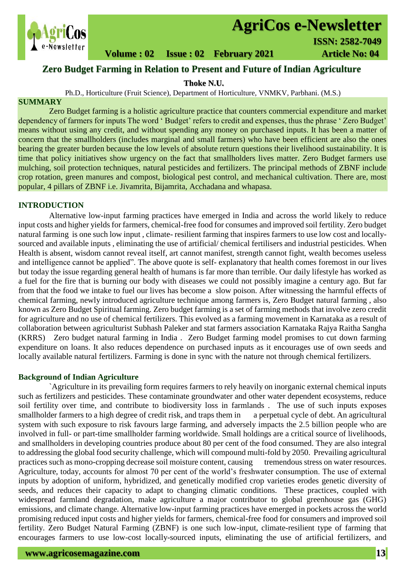

# **AgriCos e-Newsletter**

# **Volume : 02 Issue : 02 February 2021 4rticle No: 04**

# **Zero Budget Farming in Relation to Present and Future of Indian Agriculture**

**Thoke N.U.**

Ph.D., Horticulture (Fruit Science), Department of Horticulture, VNMKV, Parbhani. (M.S.)

# **SUMMARY**

 Zero Budget farming is a holistic agriculture practice that counters commercial expenditure and market dependency of farmers for inputs The word ' Budget' refers to credit and expenses, thus the phrase ' Zero Budget' means without using any credit, and without spending any money on purchased inputs. It has been a matter of concern that the smallholders (includes marginal and small farmers) who have been efficient are also the ones bearing the greater burden because the low levels of absolute return questions their livelihood sustainability. It is time that policy initiatives show urgency on the fact that smallholders lives matter. Zero Budget farmers use mulching, soil protection techniques, natural pesticides and fertilizers. The principal methods of ZBNF include crop rotation, green manures and compost, biological pest control, and mechanical cultivation. There are, most popular, 4 pillars of ZBNF i.e. Jivamrita, Bijamrita, Acchadana and whapasa.

# **INTRODUCTION**

Alternative low-input farming practices have emerged in India and across the world likely to reduce input costs and higher yields for farmers, chemical-free food for consumes and improved soil fertility. Zero budget natural farming is one such low input , climate- resilient farming that inspires farmers to use low cost and locallysourced and available inputs , eliminating the use of artificial/ chemical fertilisers and industrial pesticides. When Health is absent, wisdom cannot reveal itself, art cannot manifest, strength cannot fight, wealth becomes useless and intelligence cannot be applied". The above quote is self- explanatory that health comes foremost in our lives but today the issue regarding general health of humans is far more than terrible. Our daily lifestyle has worked as a fuel for the fire that is burning our body with diseases we could not possibly imagine a century ago. But far from that the food we intake to fuel our lives has become a slow poison. After witnessing the harmful effects of chemical farming, newly introduced agriculture technique among farmers is, Zero Budget natural farming , also known as Zero Budget Spiritual farming. Zero budget farming is a set of farming methods that involve zero credit for agriculture and no use of chemical fertilizers. This evolved as a farming movement in Karnataka as a result of collaboration between agriculturist Subhash Paleker and stat farmers association Karnataka Rajya Raitha Sangha (KRRS) Zero budget natural farming in India . Zero Budget farming model promises to cut down farming expenditure on loans. It also reduces dependence on purchased inputs as it encourages use of own seeds and locally available natural fertilizers. Farming is done in sync with the nature not through chemical fertilizers.

# **Background of Indian Agriculture**

`Agriculture in its prevailing form requires farmers to rely heavily on inorganic external chemical inputs such as fertilizers and pesticides. These contaminate groundwater and other water dependent ecosystems, reduce soil fertility over time, and contribute to biodiversity loss in farmlands . The use of such inputs exposes smallholder farmers to a high degree of credit risk, and traps them in a perpetual cycle of debt. An agricultural system with such exposure to risk favours large farming, and adversely impacts the 2.5 billion people who are involved in full- or part-time smallholder farming worldwide. Small holdings are a critical source of livelihoods, and smallholders in developing countries produce about 80 per cent of the food consumed. They are also integral to addressing the global food security challenge, which will compound multi-fold by 2050. Prevailing agricultural practices such as mono-cropping decrease soil moisture content, causing tremendous stress on water resources. Agriculture, today, accounts for almost 70 per cent of the world's freshwater consumption. The use of external inputs by adoption of uniform, hybridized, and genetically modified crop varieties erodes genetic diversity of seeds, and reduces their capacity to adapt to changing climatic conditions. These practices, coupled with widespread farmland degradation, make agriculture a major contributor to global greenhouse gas (GHG) emissions, and climate change. Alternative low-input farming practices have emerged in pockets across the world promising reduced input costs and higher yields for farmers, chemical-free food for consumers and improved soil fertility. Zero Budget Natural Farming (ZBNF) is one such low-input, climate-resilient type of farming that encourages farmers to use low-cost locally-sourced inputs, eliminating the use of artificial fertilizers, and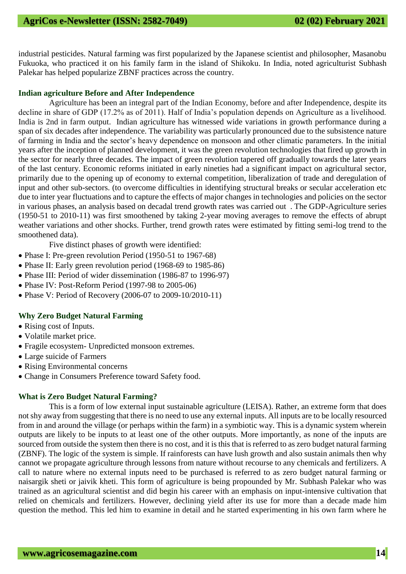industrial pesticides. Natural farming was first popularized by the Japanese scientist and philosopher, Masanobu Fukuoka, who practiced it on his family farm in the island of Shikoku. In India, noted agriculturist Subhash Palekar has helped popularize ZBNF practices across the country.

#### **Indian agriculture Before and After Independence**

Agriculture has been an integral part of the Indian Economy, before and after Independence, despite its decline in share of GDP (17.2% as of 2011). Half of India's population depends on Agriculture as a livelihood. India is 2nd in farm output. Indian agriculture has witnessed wide variations in growth performance during a span of six decades after independence. The variability was particularly pronounced due to the subsistence nature of farming in India and the sector's heavy dependence on monsoon and other climatic parameters. In the initial years after the inception of planned development, it was the green revolution technologies that fired up growth in the sector for nearly three decades. The impact of green revolution tapered off gradually towards the later years of the last century. Economic reforms initiated in early nineties had a significant impact on agricultural sector, primarily due to the opening up of economy to external competition, liberalization of trade and deregulation of input and other sub-sectors. (to overcome difficulties in identifying structural breaks or secular acceleration etc due to inter year fluctuations and to capture the effects of major changes in technologies and policies on the sector in various phases, an analysis based on decadal trend growth rates was carried out . The GDP-Agriculture series (1950-51 to 2010-11) was first smoothened by taking 2-year moving averages to remove the effects of abrupt weather variations and other shocks. Further, trend growth rates were estimated by fitting semi-log trend to the smoothened data).

Five distinct phases of growth were identified:

- Phase I: Pre-green revolution Period (1950-51 to 1967-68)
- Phase II: Early green revolution period (1968-69 to 1985-86)
- Phase III: Period of wider dissemination (1986-87 to 1996-97)
- Phase IV: Post-Reform Period (1997-98 to 2005-06)
- Phase V: Period of Recovery (2006-07 to 2009-10/2010-11)

#### **Why Zero Budget Natural Farming**

- Rising cost of Inputs.
- Volatile market price.
- Fragile ecosystem- Unpredicted monsoon extremes.
- Large suicide of Farmers
- Rising Environmental concerns
- Change in Consumers Preference toward Safety food.

#### **What is Zero Budget Natural Farming?**

This is a form of low external input sustainable agriculture (LEISA). Rather, an extreme form that does not shy away from suggesting that there is no need to use any external inputs. All inputs are to be locally resourced from in and around the village (or perhaps within the farm) in a symbiotic way. This is a dynamic system wherein outputs are likely to be inputs to at least one of the other outputs. More importantly, as none of the inputs are sourced from outside the system then there is no cost, and it is this that is referred to as zero budget natural farming (ZBNF). The logic of the system is simple. If rainforests can have lush growth and also sustain animals then why cannot we propagate agriculture through lessons from nature without recourse to any chemicals and fertilizers. A call to nature where no external inputs need to be purchased is referred to as zero budget natural farming or naisargik sheti or jaivik kheti. This form of agriculture is being propounded by Mr. Subhash Palekar who was trained as an agricultural scientist and did begin his career with an emphasis on input-intensive cultivation that relied on chemicals and fertilizers. However, declining yield after its use for more than a decade made him question the method. This led him to examine in detail and he started experimenting in his own farm where he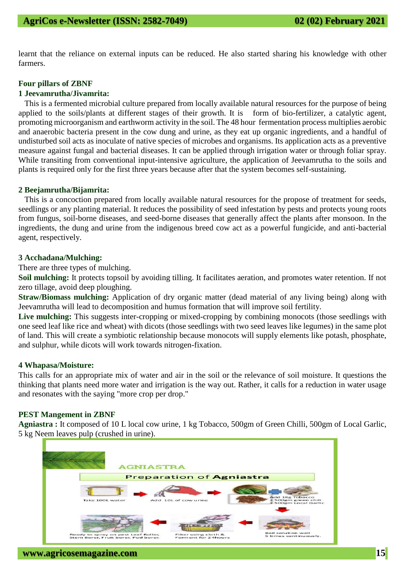learnt that the reliance on external inputs can be reduced. He also started sharing his knowledge with other farmers.

#### **Four pillars of ZBNF**

#### **1 Jeevamrutha/Jivamrita:**

This is a fermented microbial culture prepared from locally available natural resources for the purpose of being applied to the soils/plants at different stages of their growth. It is form of bio-fertilizer, a catalytic agent, promoting microorganism and earthworm activity in the soil. The 48 hour fermentation process multiplies aerobic and anaerobic bacteria present in the cow dung and urine, as they eat up organic ingredients, and a handful of undisturbed soil acts as inoculate of native species of microbes and organisms. Its application acts as a preventive measure against fungal and bacterial diseases. It can be applied through irrigation water or through foliar spray. While transiting from conventional input-intensive agriculture, the application of Jeevamrutha to the soils and plants is required only for the first three years because after that the system becomes self-sustaining.

#### **2 Beejamrutha/Bijamrita:**

This is a concoction prepared from locally available natural resources for the propose of treatment for seeds, seedlings or any planting material. It reduces the possibility of seed infestation by pests and protects young roots from fungus, soil-borne diseases, and seed-borne diseases that generally affect the plants after monsoon. In the ingredients, the dung and urine from the indigenous breed cow act as a powerful fungicide, and anti-bacterial agent, respectively.

#### **3 Acchadana/Mulching:**

There are three types of mulching.

**Soil mulching:** It protects topsoil by avoiding tilling. It facilitates aeration, and promotes water retention. If not zero tillage, avoid deep ploughing.

**Straw/Biomass mulching:** Application of dry organic matter (dead material of any living being) along with Jeevamrutha will lead to decomposition and humus formation that will improve soil fertility.

Live mulching: This suggests inter-cropping or mixed-cropping by combining monocots (those seedlings with one seed leaf like rice and wheat) with dicots (those seedlings with two seed leaves like legumes) in the same plot of land. This will create a symbiotic relationship because monocots will supply elements like potash, phosphate, and sulphur, while dicots will work towards nitrogen-fixation.

#### **4 Whapasa/Moisture:**

This calls for an appropriate mix of water and air in the soil or the relevance of soil moisture. It questions the thinking that plants need more water and irrigation is the way out. Rather, it calls for a reduction in water usage and resonates with the saying "more crop per drop."

#### **PEST Mangement in ZBNF**

**Agniastra :** It composed of 10 L local cow urine, 1 kg Tobacco, 500gm of Green Chilli, 500gm of Local Garlic, 5 kg Neem leaves pulp (crushed in urine).

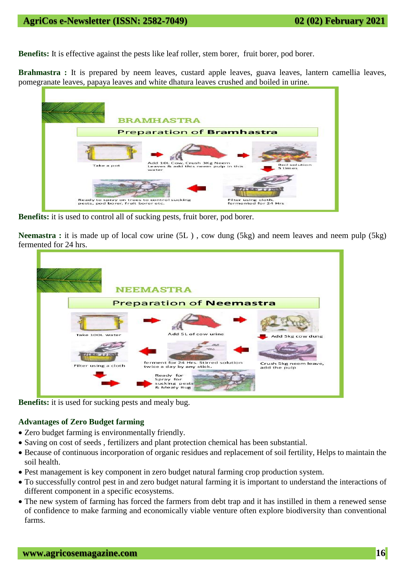**Benefits:** It is effective against the pests like leaf roller, stem borer, fruit borer, pod borer.

**Brahmastra :** It is prepared by neem leaves, custard apple leaves, guava leaves, lantern camellia leaves, pomegranate leaves, papaya leaves and white dhatura leaves crushed and boiled in urine.



**Benefits:** it is used to control all of sucking pests, fruit borer, pod borer.

**Neemastra :** it is made up of local cow urine (5L ) , cow dung (5kg) and neem leaves and neem pulp (5kg) fermented for 24 hrs.

| <b>NEEMASTRA</b>                |                                                                                                                             |                                       |
|---------------------------------|-----------------------------------------------------------------------------------------------------------------------------|---------------------------------------|
| <b>Preparation of Neemastra</b> |                                                                                                                             |                                       |
| Take 100L water                 | Add 5L of cow urine                                                                                                         | Add 5kg cow dung                      |
| Filter using a cloth            | ferment for 24 Hrs. Stirred solution<br>twice a day by any stick.<br>Ready for<br>Spray for<br>sucking pests<br>& Mealy Bug | Crush 5kg neem leave,<br>add the pulp |

**Benefits:** it is used for sucking pests and mealy bug.

# **Advantages of Zero Budget farming**

- Zero budget farming is environmentally friendly.
- Saving on cost of seeds , fertilizers and plant protection chemical has been substantial.
- Because of continuous incorporation of organic residues and replacement of soil fertility, Helps to maintain the soil health.
- Pest management is key component in zero budget natural farming crop production system.
- To successfully control pest in and zero budget natural farming it is important to understand the interactions of different component in a specific ecosystems.
- The new system of farming has forced the farmers from debt trap and it has instilled in them a renewed sense of confidence to make farming and economically viable venture often explore biodiversity than conventional farms.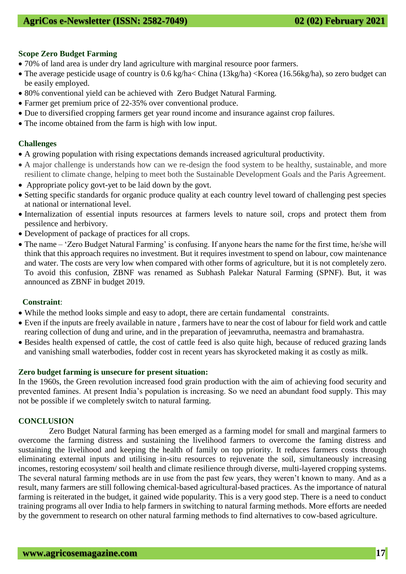# **Scope Zero Budget Farming**

- 70% of land area is under dry land agriculture with marginal resource poor farmers.
- The average pesticide usage of country is 0.6 kg/ha< China (13kg/ha) <Korea (16.56kg/ha), so zero budget can be easily employed.
- 80% conventional yield can be achieved with Zero Budget Natural Farming.
- Farmer get premium price of 22-35% over conventional produce.
- Due to diversified cropping farmers get year round income and insurance against crop failures.
- The income obtained from the farm is high with low input.

# **Challenges**

- A growing population with rising expectations demands increased agricultural productivity.
- A major challenge is understands how can we re-design the food system to be healthy, sustainable, and more resilient to climate change, helping to meet both the Sustainable Development Goals and the Paris Agreement.
- Appropriate policy govt-yet to be laid down by the govt.
- Setting specific standards for organic produce quality at each country level toward of challenging pest species at national or international level.
- Internalization of essential inputs resources at farmers levels to nature soil, crops and protect them from pessilence and herbivory.
- Development of package of practices for all crops.
- The name 'Zero Budget Natural Farming' is confusing. If anyone hears the name for the first time, he/she will think that this approach requires no investment. But it requires investment to spend on labour, cow maintenance and water. The costs are very low when compared with other forms of agriculture, but it is not completely zero. To avoid this confusion, ZBNF was renamed as Subhash Palekar Natural Farming (SPNF). But, it was announced as ZBNF in budget 2019.

# **Constraint**:

- While the method looks simple and easy to adopt, there are certain fundamental constraints.
- Even if the inputs are freely available in nature , farmers have to near the cost of labour for field work and cattle rearing collection of dung and urine, and in the preparation of jeevamrutha, neemastra and bramahastra.
- Besides health expensed of cattle, the cost of cattle feed is also quite high, because of reduced grazing lands and vanishing small waterbodies, fodder cost in recent years has skyrocketed making it as costly as milk.

# **Zero budget farming is unsecure for present situation:**

In the 1960s, the Green revolution increased food grain production with the aim of achieving food security and prevented famines. At present India's population is increasing. So we need an abundant food supply. This may not be possible if we completely switch to natural farming.

# **CONCLUSION**

Zero Budget Natural farming has been emerged as a farming model for small and marginal farmers to overcome the farming distress and sustaining the livelihood farmers to overcome the faming distress and sustaining the livelihood and keeping the health of family on top priority. It reduces farmers costs through eliminating external inputs and utilising in-situ resources to rejuvenate the soil, simultaneously increasing incomes, restoring ecosystem/ soil health and climate resilience through diverse, multi-layered cropping systems. The several natural farming methods are in use from the past few years, they weren't known to many. And as a result, many farmers are still following chemical-based agricultural-based practices. As the importance of natural farming is reiterated in the budget, it gained wide popularity. This is a very good step. There is a need to conduct training programs all over India to help farmers in switching to natural farming methods. More efforts are needed by the government to research on other natural farming methods to find alternatives to cow-based agriculture.